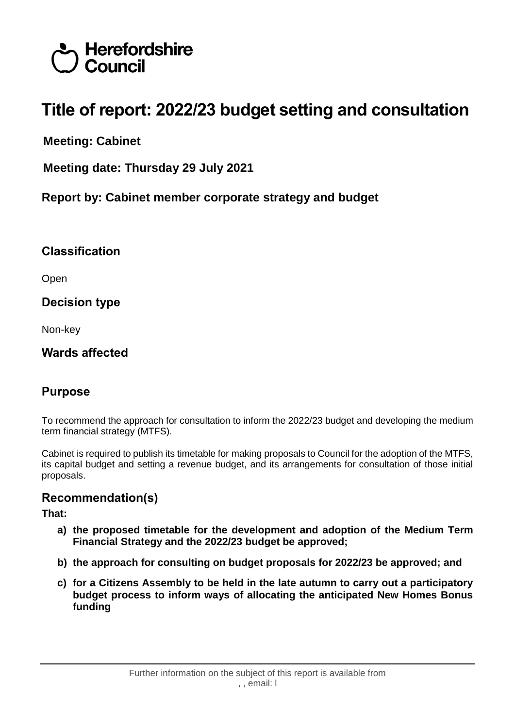

# **Title of report: 2022/23 budget setting and consultation**

**Meeting: Cabinet**

**Meeting date: Thursday 29 July 2021**

**Report by: Cabinet member corporate strategy and budget**

#### **Classification**

Open

#### **Decision type**

Non-key

## **Wards affected**

# **Purpose**

To recommend the approach for consultation to inform the 2022/23 budget and developing the medium term financial strategy (MTFS).

Cabinet is required to publish its timetable for making proposals to Council for the adoption of the MTFS, its capital budget and setting a revenue budget, and its arrangements for consultation of those initial proposals.

#### **Recommendation(s)**

**That:**

- **a) the proposed timetable for the development and adoption of the Medium Term Financial Strategy and the 2022/23 budget be approved;**
- **b) the approach for consulting on budget proposals for 2022/23 be approved; and**
- **c) for a Citizens Assembly to be held in the late autumn to carry out a participatory budget process to inform ways of allocating the anticipated New Homes Bonus funding**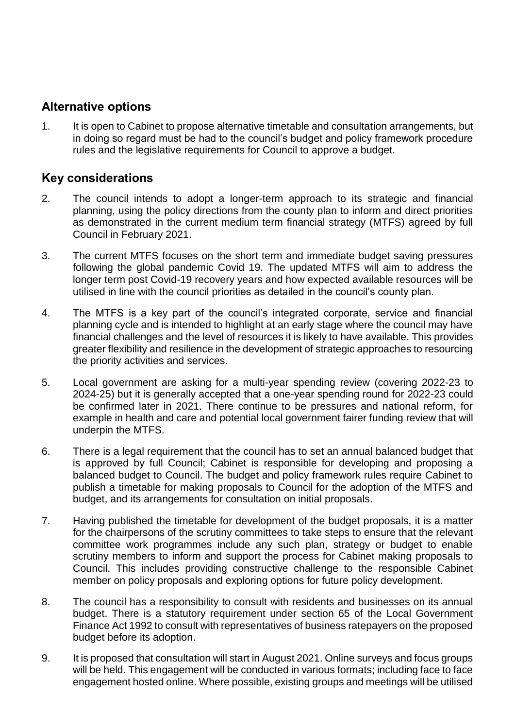#### **Alternative options**

1. It is open to Cabinet to propose alternative timetable and consultation arrangements, but in doing so regard must be had to the council's budget and policy framework procedure rules and the legislative requirements for Council to approve a budget.

## **Key considerations**

- 2. The council intends to adopt a longer-term approach to its strategic and financial planning, using the policy directions from the county plan to inform and direct priorities as demonstrated in the current medium term financial strategy (MTFS) agreed by full Council in February 2021.
- 3. The current MTFS focuses on the short term and immediate budget saving pressures following the global pandemic Covid 19. The updated MTFS will aim to address the longer term post Covid-19 recovery years and how expected available resources will be utilised in line with the council priorities as detailed in the council's county plan.
- 4. The MTFS is a key part of the council's integrated corporate, service and financial planning cycle and is intended to highlight at an early stage where the council may have financial challenges and the level of resources it is likely to have available. This provides greater flexibility and resilience in the development of strategic approaches to resourcing the priority activities and services.
- 5. Local government are asking for a multi-year spending review (covering 2022-23 to 2024-25) but it is generally accepted that a one-year spending round for 2022-23 could be confirmed later in 2021. There continue to be pressures and national reform, for example in health and care and potential local government fairer funding review that will underpin the MTFS.
- 6. There is a legal requirement that the council has to set an annual balanced budget that is approved by full Council; Cabinet is responsible for developing and proposing a balanced budget to Council. The budget and policy framework rules require Cabinet to publish a timetable for making proposals to Council for the adoption of the MTFS and budget, and its arrangements for consultation on initial proposals.
- 7. Having published the timetable for development of the budget proposals, it is a matter for the chairpersons of the scrutiny committees to take steps to ensure that the relevant committee work programmes include any such plan, strategy or budget to enable scrutiny members to inform and support the process for Cabinet making proposals to Council. This includes providing constructive challenge to the responsible Cabinet member on policy proposals and exploring options for future policy development.
- 8. The council has a responsibility to consult with residents and businesses on its annual budget. There is a statutory requirement under section 65 of the Local Government Finance Act 1992 to consult with representatives of business ratepayers on the proposed budget before its adoption.
- 9. It is proposed that consultation will start in August 2021. Online surveys and focus groups will be held. This engagement will be conducted in various formats; including face to face engagement hosted online. Where possible, existing groups and meetings will be utilised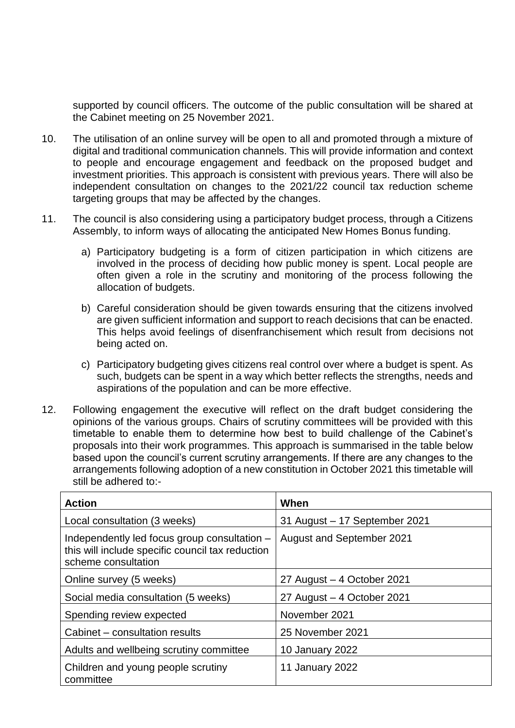supported by council officers. The outcome of the public consultation will be shared at the Cabinet meeting on 25 November 2021.

- 10. The utilisation of an online survey will be open to all and promoted through a mixture of digital and traditional communication channels. This will provide information and context to people and encourage engagement and feedback on the proposed budget and investment priorities. This approach is consistent with previous years. There will also be independent consultation on changes to the 2021/22 council tax reduction scheme targeting groups that may be affected by the changes.
- 11. The council is also considering using a participatory budget process, through a Citizens Assembly, to inform ways of allocating the anticipated New Homes Bonus funding.
	- a) Participatory budgeting is a form of citizen participation in which citizens are involved in the process of deciding how public money is spent. Local people are often given a role in the scrutiny and monitoring of the process following the allocation of budgets.
	- b) Careful consideration should be given towards ensuring that the citizens involved are given sufficient information and support to reach decisions that can be enacted. This helps avoid feelings of disenfranchisement which result from decisions not being acted on.
	- c) Participatory budgeting gives citizens real control over where a budget is spent. As such, budgets can be spent in a way which better reflects the strengths, needs and aspirations of the population and can be more effective.
- 12. Following engagement the executive will reflect on the draft budget considering the opinions of the various groups. Chairs of scrutiny committees will be provided with this timetable to enable them to determine how best to build challenge of the Cabinet's proposals into their work programmes. This approach is summarised in the table below based upon the council's current scrutiny arrangements. If there are any changes to the arrangements following adoption of a new constitution in October 2021 this timetable will still be adhered to:-

| <b>Action</b>                                                                                                           | When                             |
|-------------------------------------------------------------------------------------------------------------------------|----------------------------------|
| Local consultation (3 weeks)                                                                                            | 31 August - 17 September 2021    |
| Independently led focus group consultation -<br>this will include specific council tax reduction<br>scheme consultation | <b>August and September 2021</b> |
| Online survey (5 weeks)                                                                                                 | 27 August - 4 October 2021       |
| Social media consultation (5 weeks)                                                                                     | 27 August - 4 October 2021       |
| Spending review expected                                                                                                | November 2021                    |
| Cabinet – consultation results                                                                                          | 25 November 2021                 |
| Adults and wellbeing scrutiny committee                                                                                 | 10 January 2022                  |
| Children and young people scrutiny<br>committee                                                                         | 11 January 2022                  |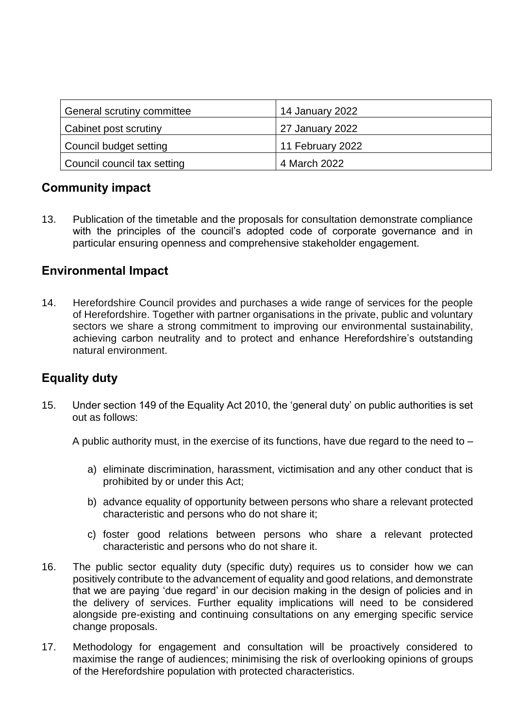| General scrutiny committee   | 14 January 2022  |
|------------------------------|------------------|
| <b>Cabinet post scrutiny</b> | 27 January 2022  |
| Council budget setting       | 11 February 2022 |
| Council council tax setting  | 4 March 2022     |

## **Community impact**

13. Publication of the timetable and the proposals for consultation demonstrate compliance with the principles of the council's adopted code of corporate governance and in particular ensuring openness and comprehensive stakeholder engagement.

## **Environmental Impact**

14. Herefordshire Council provides and purchases a wide range of services for the people of Herefordshire. Together with partner organisations in the private, public and voluntary sectors we share a strong commitment to improving our environmental sustainability, achieving carbon neutrality and to protect and enhance Herefordshire's outstanding natural environment.

# **Equality duty**

15. Under section 149 of the Equality Act 2010, the 'general duty' on public authorities is set out as follows:

A public authority must, in the exercise of its functions, have due regard to the need to –

- a) eliminate discrimination, harassment, victimisation and any other conduct that is prohibited by or under this Act;
- b) advance equality of opportunity between persons who share a relevant protected characteristic and persons who do not share it;
- c) foster good relations between persons who share a relevant protected characteristic and persons who do not share it.
- 16. The public sector equality duty (specific duty) requires us to consider how we can positively contribute to the advancement of equality and good relations, and demonstrate that we are paying 'due regard' in our decision making in the design of policies and in the delivery of services. Further equality implications will need to be considered alongside pre-existing and continuing consultations on any emerging specific service change proposals.
- 17. Methodology for engagement and consultation will be proactively considered to maximise the range of audiences; minimising the risk of overlooking opinions of groups of the Herefordshire population with protected characteristics.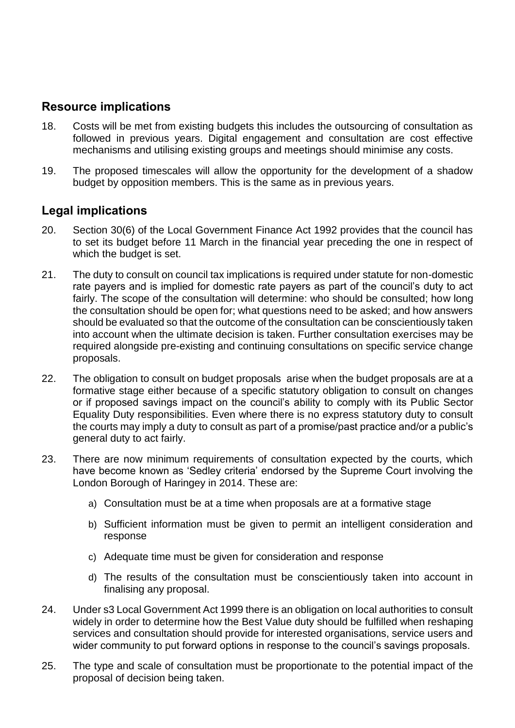## **Resource implications**

- 18. Costs will be met from existing budgets this includes the outsourcing of consultation as followed in previous years. Digital engagement and consultation are cost effective mechanisms and utilising existing groups and meetings should minimise any costs.
- 19. The proposed timescales will allow the opportunity for the development of a shadow budget by opposition members. This is the same as in previous years.

#### **Legal implications**

- 20. Section 30(6) of the Local Government Finance Act 1992 provides that the council has to set its budget before 11 March in the financial year preceding the one in respect of which the budget is set.
- 21. The duty to consult on council tax implications is required under statute for non-domestic rate payers and is implied for domestic rate payers as part of the council's duty to act fairly. The scope of the consultation will determine: who should be consulted; how long the consultation should be open for; what questions need to be asked; and how answers should be evaluated so that the outcome of the consultation can be conscientiously taken into account when the ultimate decision is taken. Further consultation exercises may be required alongside pre-existing and continuing consultations on specific service change proposals.
- 22. The obligation to consult on budget proposals arise when the budget proposals are at a formative stage either because of a specific statutory obligation to consult on changes or if proposed savings impact on the council's ability to comply with its Public Sector Equality Duty responsibilities. Even where there is no express statutory duty to consult the courts may imply a duty to consult as part of a promise/past practice and/or a public's general duty to act fairly.
- 23. There are now minimum requirements of consultation expected by the courts, which have become known as 'Sedley criteria' endorsed by the Supreme Court involving the London Borough of Haringey in 2014. These are:
	- a) Consultation must be at a time when proposals are at a formative stage
	- b) Sufficient information must be given to permit an intelligent consideration and response
	- c) Adequate time must be given for consideration and response
	- d) The results of the consultation must be conscientiously taken into account in finalising any proposal.
- 24. Under s3 Local Government Act 1999 there is an obligation on local authorities to consult widely in order to determine how the Best Value duty should be fulfilled when reshaping services and consultation should provide for interested organisations, service users and wider community to put forward options in response to the council's savings proposals.
- 25. The type and scale of consultation must be proportionate to the potential impact of the proposal of decision being taken.